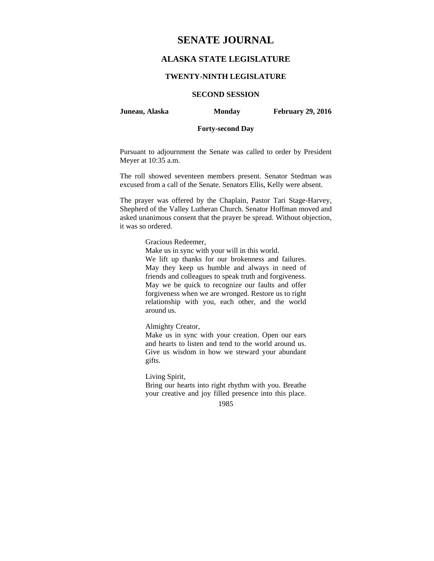# **SENATE JOURNAL**

# **ALASKA STATE LEGISLATURE**

### **TWENTY-NINTH LEGISLATURE**

# **SECOND SESSION**

**Juneau, Alaska Monday February 29, 2016** 

### **Forty-second Day**

Pursuant to adjournment the Senate was called to order by President Meyer at 10:35 a.m.

The roll showed seventeen members present. Senator Stedman was excused from a call of the Senate. Senators Ellis, Kelly were absent.

The prayer was offered by the Chaplain, Pastor Tari Stage-Harvey, Shepherd of the Valley Lutheran Church. Senator Hoffman moved and asked unanimous consent that the prayer be spread. Without objection, it was so ordered.

#### Gracious Redeemer,

Make us in sync with your will in this world.

We lift up thanks for our brokenness and failures. May they keep us humble and always in need of friends and colleagues to speak truth and forgiveness. May we be quick to recognize our faults and offer forgiveness when we are wronged. Restore us to right relationship with you, each other, and the world around us.

Almighty Creator,

Make us in sync with your creation. Open our ears and hearts to listen and tend to the world around us. Give us wisdom in how we steward your abundant gifts.

Living Spirit,

Bring our hearts into right rhythm with you. Breathe your creative and joy filled presence into this place.

1985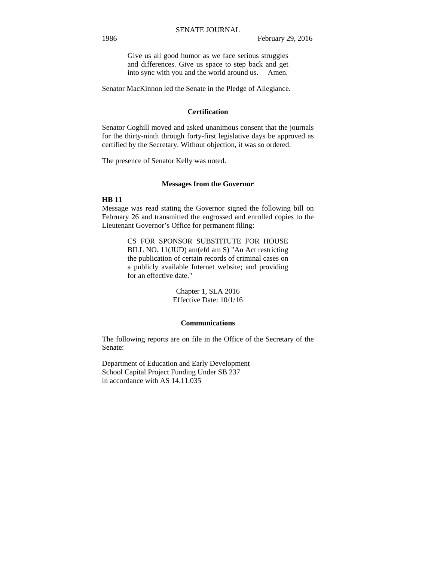Give us all good humor as we face serious struggles and differences. Give us space to step back and get into sync with you and the world around us. Amen.

Senator MacKinnon led the Senate in the Pledge of Allegiance.

## **Certification**

Senator Coghill moved and asked unanimous consent that the journals for the thirty-ninth through forty-first legislative days be approved as certified by the Secretary. Without objection, it was so ordered.

The presence of Senator Kelly was noted.

#### **Messages from the Governor**

#### **HB 11**

Message was read stating the Governor signed the following bill on February 26 and transmitted the engrossed and enrolled copies to the Lieutenant Governor's Office for permanent filing:

> CS FOR SPONSOR SUBSTITUTE FOR HOUSE BILL NO. 11(JUD) am(efd am S) "An Act restricting the publication of certain records of criminal cases on a publicly available Internet website; and providing for an effective date."

> > Chapter 1, SLA 2016 Effective Date: 10/1/16

#### **Communications**

The following reports are on file in the Office of the Secretary of the Senate:

Department of Education and Early Development School Capital Project Funding Under SB 237 in accordance with AS 14.11.035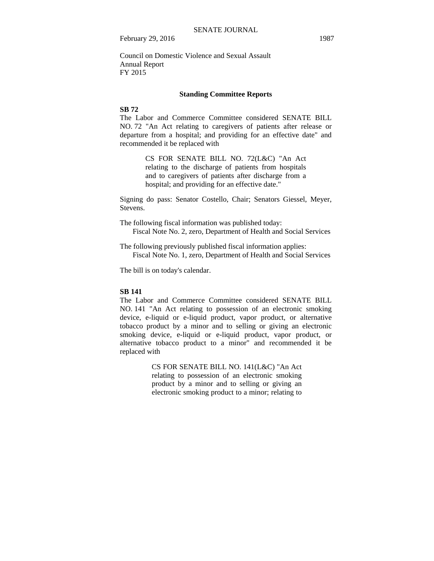Council on Domestic Violence and Sexual Assault Annual Report FY 2015

#### **Standing Committee Reports**

# **SB 72**

The Labor and Commerce Committee considered SENATE BILL NO. 72 "An Act relating to caregivers of patients after release or departure from a hospital; and providing for an effective date" and recommended it be replaced with

> CS FOR SENATE BILL NO. 72(L&C) "An Act relating to the discharge of patients from hospitals and to caregivers of patients after discharge from a hospital; and providing for an effective date."

Signing do pass: Senator Costello, Chair; Senators Giessel, Meyer, Stevens.

The following fiscal information was published today: Fiscal Note No. 2, zero, Department of Health and Social Services

The following previously published fiscal information applies: Fiscal Note No. 1, zero, Department of Health and Social Services

The bill is on today's calendar.

### **SB 141**

The Labor and Commerce Committee considered SENATE BILL NO. 141 "An Act relating to possession of an electronic smoking device, e-liquid or e-liquid product, vapor product, or alternative tobacco product by a minor and to selling or giving an electronic smoking device, e-liquid or e-liquid product, vapor product, or alternative tobacco product to a minor" and recommended it be replaced with

> CS FOR SENATE BILL NO. 141(L&C) "An Act relating to possession of an electronic smoking product by a minor and to selling or giving an electronic smoking product to a minor; relating to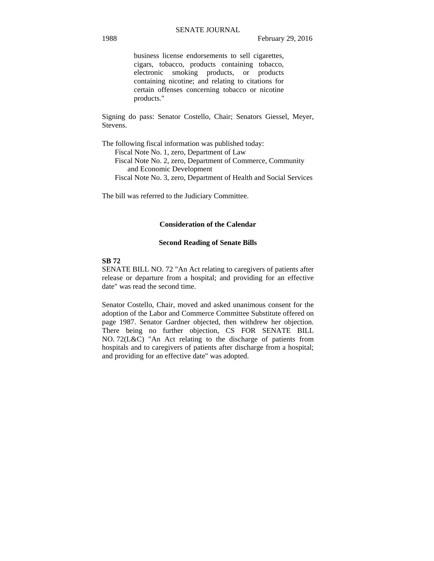business license endorsements to sell cigarettes, cigars, tobacco, products containing tobacco, electronic smoking products, or products containing nicotine; and relating to citations for certain offenses concerning tobacco or nicotine products."

Signing do pass: Senator Costello, Chair; Senators Giessel, Meyer, Stevens.

The following fiscal information was published today: Fiscal Note No. 1, zero, Department of Law Fiscal Note No. 2, zero, Department of Commerce, Community and Economic Development Fiscal Note No. 3, zero, Department of Health and Social Services

The bill was referred to the Judiciary Committee.

#### **Consideration of the Calendar**

#### **Second Reading of Senate Bills**

## **SB 72**

SENATE BILL NO. 72 "An Act relating to caregivers of patients after release or departure from a hospital; and providing for an effective date" was read the second time.

Senator Costello, Chair, moved and asked unanimous consent for the adoption of the Labor and Commerce Committee Substitute offered on page 1987. Senator Gardner objected, then withdrew her objection. There being no further objection, CS FOR SENATE BILL NO. 72(L&C) "An Act relating to the discharge of patients from hospitals and to caregivers of patients after discharge from a hospital; and providing for an effective date" was adopted.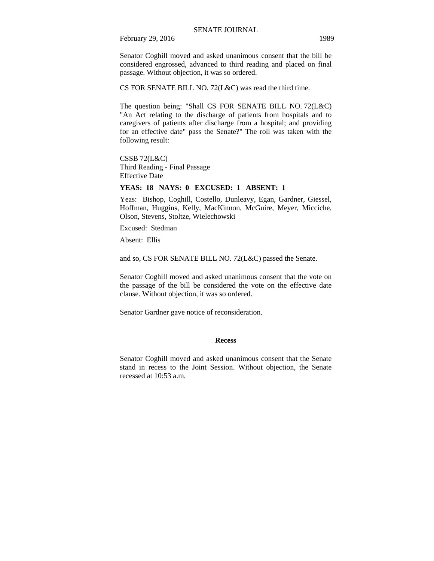Senator Coghill moved and asked unanimous consent that the bill be considered engrossed, advanced to third reading and placed on final passage. Without objection, it was so ordered.

CS FOR SENATE BILL NO. 72(L&C) was read the third time.

The question being: "Shall CS FOR SENATE BILL NO. 72(L&C) "An Act relating to the discharge of patients from hospitals and to caregivers of patients after discharge from a hospital; and providing for an effective date" pass the Senate?" The roll was taken with the following result:

CSSB 72(L&C) Third Reading - Final Passage Effective Date

## **YEAS: 18 NAYS: 0 EXCUSED: 1 ABSENT: 1**

Yeas: Bishop, Coghill, Costello, Dunleavy, Egan, Gardner, Giessel, Hoffman, Huggins, Kelly, MacKinnon, McGuire, Meyer, Micciche, Olson, Stevens, Stoltze, Wielechowski

Excused: Stedman

Absent: Ellis

and so, CS FOR SENATE BILL NO. 72(L&C) passed the Senate.

Senator Coghill moved and asked unanimous consent that the vote on the passage of the bill be considered the vote on the effective date clause. Without objection, it was so ordered.

Senator Gardner gave notice of reconsideration.

#### **Recess**

Senator Coghill moved and asked unanimous consent that the Senate stand in recess to the Joint Session. Without objection, the Senate recessed at 10:53 a.m.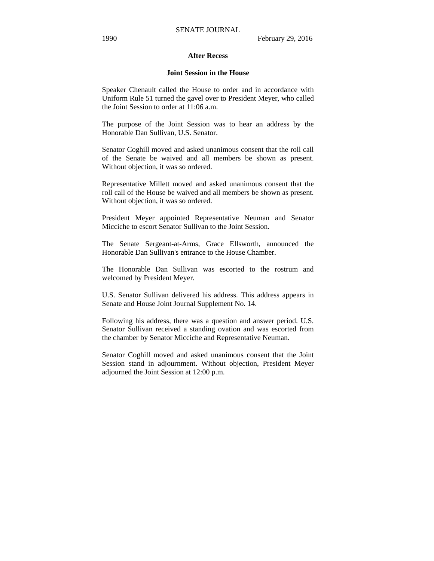#### **After Recess**

#### **Joint Session in the House**

Speaker Chenault called the House to order and in accordance with Uniform Rule 51 turned the gavel over to President Meyer, who called the Joint Session to order at 11:06 a.m.

The purpose of the Joint Session was to hear an address by the Honorable Dan Sullivan, U.S. Senator.

Senator Coghill moved and asked unanimous consent that the roll call of the Senate be waived and all members be shown as present. Without objection, it was so ordered.

Representative Millett moved and asked unanimous consent that the roll call of the House be waived and all members be shown as present. Without objection, it was so ordered.

President Meyer appointed Representative Neuman and Senator Micciche to escort Senator Sullivan to the Joint Session.

The Senate Sergeant-at-Arms, Grace Ellsworth, announced the Honorable Dan Sullivan's entrance to the House Chamber.

The Honorable Dan Sullivan was escorted to the rostrum and welcomed by President Meyer.

U.S. Senator Sullivan delivered his address. This address appears in Senate and House Joint Journal Supplement No. 14.

Following his address, there was a question and answer period. U.S. Senator Sullivan received a standing ovation and was escorted from the chamber by Senator Micciche and Representative Neuman.

Senator Coghill moved and asked unanimous consent that the Joint Session stand in adjournment. Without objection, President Meyer adjourned the Joint Session at 12:00 p.m.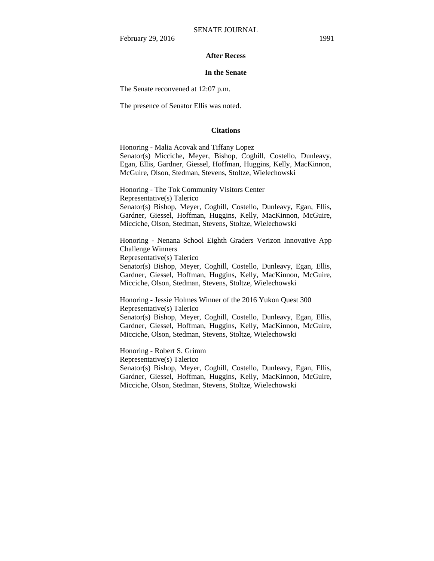#### **After Recess**

#### **In the Senate**

The Senate reconvened at 12:07 p.m.

The presence of Senator Ellis was noted.

#### **Citations**

Honoring - Malia Acovak and Tiffany Lopez Senator(s) Micciche, Meyer, Bishop, Coghill, Costello, Dunleavy, Egan, Ellis, Gardner, Giessel, Hoffman, Huggins, Kelly, MacKinnon, McGuire, Olson, Stedman, Stevens, Stoltze, Wielechowski

Honoring - The Tok Community Visitors Center Representative(s) Talerico Senator(s) Bishop, Meyer, Coghill, Costello, Dunleavy, Egan, Ellis, Gardner, Giessel, Hoffman, Huggins, Kelly, MacKinnon, McGuire, Micciche, Olson, Stedman, Stevens, Stoltze, Wielechowski

Honoring - Nenana School Eighth Graders Verizon Innovative App Challenge Winners

Representative(s) Talerico

Senator(s) Bishop, Meyer, Coghill, Costello, Dunleavy, Egan, Ellis, Gardner, Giessel, Hoffman, Huggins, Kelly, MacKinnon, McGuire, Micciche, Olson, Stedman, Stevens, Stoltze, Wielechowski

Honoring - Jessie Holmes Winner of the 2016 Yukon Quest 300 Representative(s) Talerico Senator(s) Bishop, Meyer, Coghill, Costello, Dunleavy, Egan, Ellis,

Gardner, Giessel, Hoffman, Huggins, Kelly, MacKinnon, McGuire, Micciche, Olson, Stedman, Stevens, Stoltze, Wielechowski

Honoring - Robert S. Grimm Representative(s) Talerico Senator(s) Bishop, Meyer, Coghill, Costello, Dunleavy, Egan, Ellis, Gardner, Giessel, Hoffman, Huggins, Kelly, MacKinnon, McGuire, Micciche, Olson, Stedman, Stevens, Stoltze, Wielechowski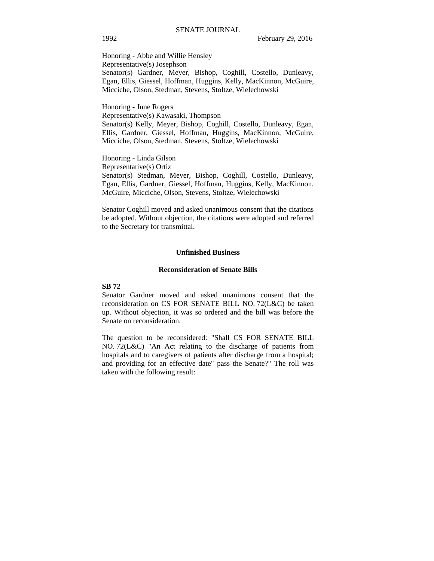Honoring - Abbe and Willie Hensley Representative(s) Josephson Senator(s) Gardner, Meyer, Bishop, Coghill, Costello, Dunleavy, Egan, Ellis, Giessel, Hoffman, Huggins, Kelly, MacKinnon, McGuire, Micciche, Olson, Stedman, Stevens, Stoltze, Wielechowski

Honoring - June Rogers Representative(s) Kawasaki, Thompson Senator(s) Kelly, Meyer, Bishop, Coghill, Costello, Dunleavy, Egan, Ellis, Gardner, Giessel, Hoffman, Huggins, MacKinnon, McGuire, Micciche, Olson, Stedman, Stevens, Stoltze, Wielechowski

Honoring - Linda Gilson Representative(s) Ortiz Senator(s) Stedman, Meyer, Bishop, Coghill, Costello, Dunleavy, Egan, Ellis, Gardner, Giessel, Hoffman, Huggins, Kelly, MacKinnon, McGuire, Micciche, Olson, Stevens, Stoltze, Wielechowski

Senator Coghill moved and asked unanimous consent that the citations be adopted. Without objection, the citations were adopted and referred to the Secretary for transmittal.

#### **Unfinished Business**

#### **Reconsideration of Senate Bills**

#### **SB 72**

Senator Gardner moved and asked unanimous consent that the reconsideration on CS FOR SENATE BILL NO. 72(L&C) be taken up. Without objection, it was so ordered and the bill was before the Senate on reconsideration.

The question to be reconsidered: "Shall CS FOR SENATE BILL NO. 72(L&C) "An Act relating to the discharge of patients from hospitals and to caregivers of patients after discharge from a hospital; and providing for an effective date" pass the Senate?" The roll was taken with the following result: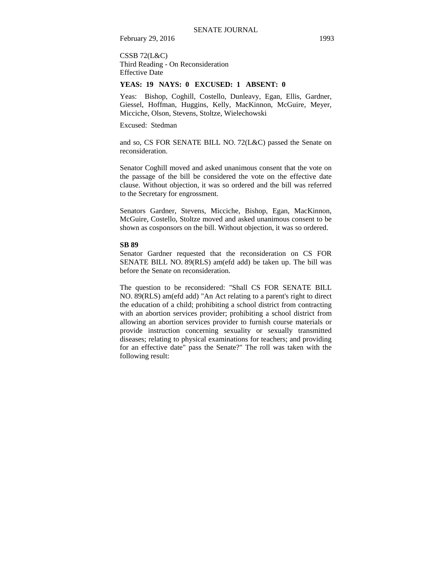CSSB 72(L&C) Third Reading - On Reconsideration Effective Date

#### **YEAS: 19 NAYS: 0 EXCUSED: 1 ABSENT: 0**

Yeas: Bishop, Coghill, Costello, Dunleavy, Egan, Ellis, Gardner, Giessel, Hoffman, Huggins, Kelly, MacKinnon, McGuire, Meyer, Micciche, Olson, Stevens, Stoltze, Wielechowski

Excused: Stedman

and so, CS FOR SENATE BILL NO. 72(L&C) passed the Senate on reconsideration.

Senator Coghill moved and asked unanimous consent that the vote on the passage of the bill be considered the vote on the effective date clause. Without objection, it was so ordered and the bill was referred to the Secretary for engrossment.

Senators Gardner, Stevens, Micciche, Bishop, Egan, MacKinnon, McGuire, Costello, Stoltze moved and asked unanimous consent to be shown as cosponsors on the bill. Without objection, it was so ordered.

#### **SB 89**

Senator Gardner requested that the reconsideration on CS FOR SENATE BILL NO. 89(RLS) am(efd add) be taken up. The bill was before the Senate on reconsideration.

The question to be reconsidered: "Shall CS FOR SENATE BILL NO. 89(RLS) am(efd add) "An Act relating to a parent's right to direct the education of a child; prohibiting a school district from contracting with an abortion services provider; prohibiting a school district from allowing an abortion services provider to furnish course materials or provide instruction concerning sexuality or sexually transmitted diseases; relating to physical examinations for teachers; and providing for an effective date" pass the Senate?" The roll was taken with the following result: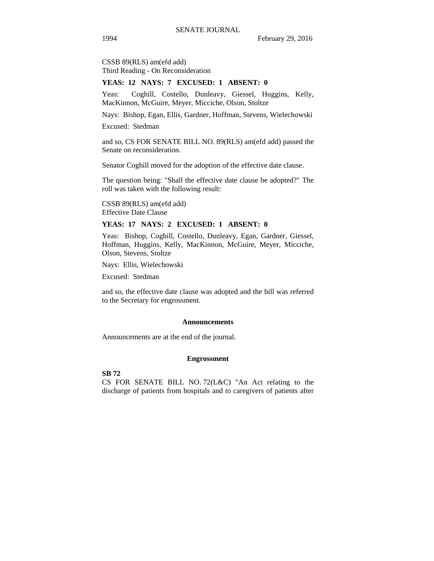CSSB 89(RLS) am(efd add) Third Reading - On Reconsideration

#### **YEAS: 12 NAYS: 7 EXCUSED: 1 ABSENT: 0**

Yeas: Coghill, Costello, Dunleavy, Giessel, Huggins, Kelly, MacKinnon, McGuire, Meyer, Micciche, Olson, Stoltze

Nays: Bishop, Egan, Ellis, Gardner, Hoffman, Stevens, Wielechowski

Excused: Stedman

and so, CS FOR SENATE BILL NO. 89(RLS) am(efd add) passed the Senate on reconsideration.

Senator Coghill moved for the adoption of the effective date clause.

The question being: "Shall the effective date clause be adopted?" The roll was taken with the following result:

CSSB 89(RLS) am(efd add) Effective Date Clause

#### **YEAS: 17 NAYS: 2 EXCUSED: 1 ABSENT: 0**

Yeas: Bishop, Coghill, Costello, Dunleavy, Egan, Gardner, Giessel, Hoffman, Huggins, Kelly, MacKinnon, McGuire, Meyer, Micciche, Olson, Stevens, Stoltze

Nays: Ellis, Wielechowski

Excused: Stedman

and so, the effective date clause was adopted and the bill was referred to the Secretary for engrossment.

#### **Announcements**

Announcements are at the end of the journal.

#### **Engrossment**

**SB 72** 

CS FOR SENATE BILL NO. 72(L&C) "An Act relating to the discharge of patients from hospitals and to caregivers of patients after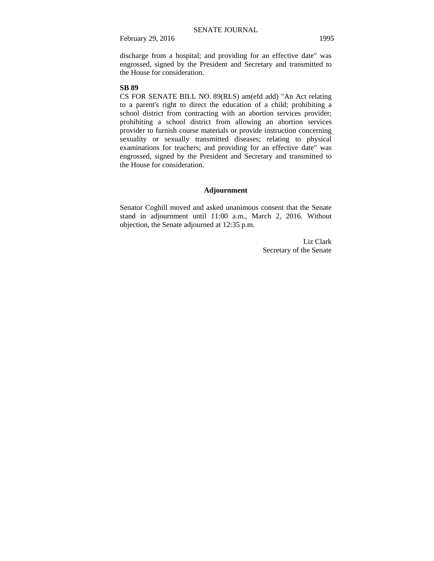discharge from a hospital; and providing for an effective date" was engrossed, signed by the President and Secretary and transmitted to the House for consideration.

#### **SB 89**

CS FOR SENATE BILL NO. 89(RLS) am(efd add) "An Act relating to a parent's right to direct the education of a child; prohibiting a school district from contracting with an abortion services provider; prohibiting a school district from allowing an abortion services provider to furnish course materials or provide instruction concerning sexuality or sexually transmitted diseases; relating to physical examinations for teachers; and providing for an effective date" was engrossed, signed by the President and Secretary and transmitted to the House for consideration.

#### **Adjournment**

Senator Coghill moved and asked unanimous consent that the Senate stand in adjournment until 11:00 a.m., March 2, 2016. Without objection, the Senate adjourned at 12:35 p.m.

> Liz Clark Secretary of the Senate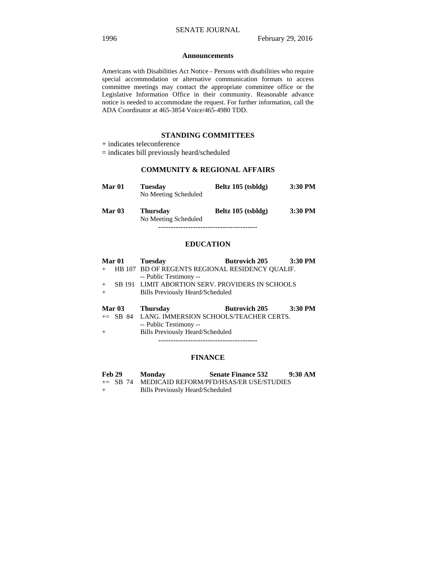#### **Announcements**

Americans with Disabilities Act Notice - Persons with disabilities who require special accommodation or alternative communication formats to access committee meetings may contact the appropriate committee office or the Legislative Information Office in their community. Reasonable advance notice is needed to accommodate the request. For further information, call the ADA Coordinator at 465-3854 Voice/465-4980 TDD.

### **STANDING COMMITTEES**

### **COMMUNITY & REGIONAL AFFAIRS**

| Mar 01   | <b>Tuesday</b><br>No Meeting Scheduled  | Beltz 105 (tsbldg) | 3:30 PM |
|----------|-----------------------------------------|--------------------|---------|
| Mar $03$ | <b>Thursday</b><br>No Meeting Scheduled | Beltz 105 (tsbldg) | 3:30 PM |
|          |                                         |                    |         |

### **EDUCATION**

| Mar <sub>01</sub> | <b>Tuesday</b>                                     | <b>Butrovich 205</b> | 3:30 PM   |
|-------------------|----------------------------------------------------|----------------------|-----------|
|                   | HB 107 BD OF REGENTS REGIONAL RESIDENCY QUALIF.    |                      |           |
|                   | -- Public Testimony --                             |                      |           |
| $+$               | SB 191 LIMIT ABORTION SERV. PROVIDERS IN SCHOOLS   |                      |           |
| $+$               | Bills Previously Heard/Scheduled                   |                      |           |
|                   |                                                    |                      |           |
| Mar $03$          | <b>Thursday</b>                                    | <b>Butrovich 205</b> | $3:30$ PM |
|                   | $\pm$ SB 84 LANG. IMMERSION SCHOOLS/TEACHER CERTS. |                      |           |
|                   | -- Public Testimony --                             |                      |           |
| $+$               | <b>Bills Previously Heard/Scheduled</b>            |                      |           |

----------------------------------------

#### **FINANCE**

| <b>Feb 29</b> | Monday | <b>Senate Finance 532</b> | 9:30 AM |
|---------------|--------|---------------------------|---------|
|---------------|--------|---------------------------|---------|

- += SB 74 MEDICAID REFORM/PFD/HSAS/ER USE/STUDIES
- + Bills Previously Heard/Scheduled

<sup>+</sup> indicates teleconference

<sup>=</sup> indicates bill previously heard/scheduled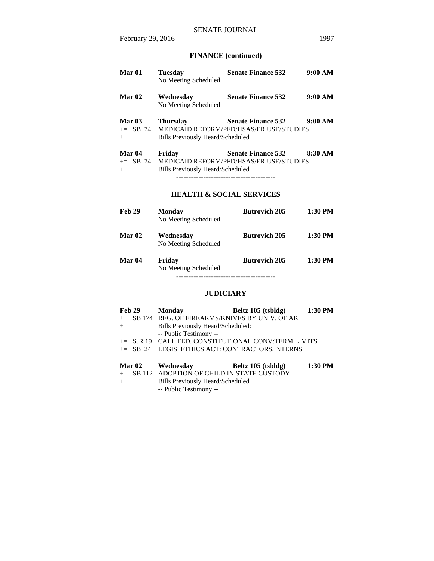# **FINANCE (continued)**

| Mar 01                             | <b>Tuesday</b><br>No Meeting Scheduled              | <b>Senate Finance 532</b>                                                   | 9:00 AM |
|------------------------------------|-----------------------------------------------------|-----------------------------------------------------------------------------|---------|
| Mar <sub>02</sub>                  | Wednesday<br>No Meeting Scheduled                   | <b>Senate Finance 532</b>                                                   | 9:00 AM |
| <b>Mar 03</b><br>$+=$ SB 74<br>$+$ | <b>Thursday</b><br>Bills Previously Heard/Scheduled | <b>Senate Finance 532</b><br><b>MEDICAID REFORM/PFD/HSAS/ER USE/STUDIES</b> | 9:00 AM |
| Mar 04<br>$+=$ SB 74<br>$+$        | Friday<br>Bills Previously Heard/Scheduled          | <b>Senate Finance 532</b><br>MEDICAID REFORM/PFD/HSAS/ER USE/STUDIES        | 8:30 AM |

----------------------------------------

# **HEALTH & SOCIAL SERVICES**

| Feb 29        | <b>Monday</b><br>No Meeting Scheduled | <b>Butrovich 205</b> | $1:30$ PM |
|---------------|---------------------------------------|----------------------|-----------|
| <b>Mar 02</b> | Wednesdav<br>No Meeting Scheduled     | <b>Butrovich 205</b> | $1:30$ PM |
| Mar 04        | Friday<br>No Meeting Scheduled        | <b>Butrovich 205</b> | 1:30 PM   |

----------------------------------------

# **JUDICIARY**

| Feb 29 |        | <b>Monday</b>                                       | Beltz 105 (tsbldg) | 1:30 PM |
|--------|--------|-----------------------------------------------------|--------------------|---------|
| $+$    |        | SB 174 REG. OF FIREARMS/KNIVES BY UNIV. OF AK       |                    |         |
| $+$    |        | Bills Previously Heard/Scheduled:                   |                    |         |
|        |        | -- Public Testimony --                              |                    |         |
|        |        | += SJR 19 CALL FED. CONSTITUTIONAL CONV:TERM LIMITS |                    |         |
|        |        | += SB 24 LEGIS. ETHICS ACT: CONTRACTORS, INTERNS    |                    |         |
|        |        |                                                     |                    |         |
|        | Mar 02 | Wednesday                                           | Beltz 105 (tsbldg) | 1:30 PM |
| $+$    |        | SB 112 ADOPTION OF CHILD IN STATE CUSTODY           |                    |         |
| $+$    |        | <b>Bills Previously Heard/Scheduled</b>             |                    |         |

-- Public Testimony --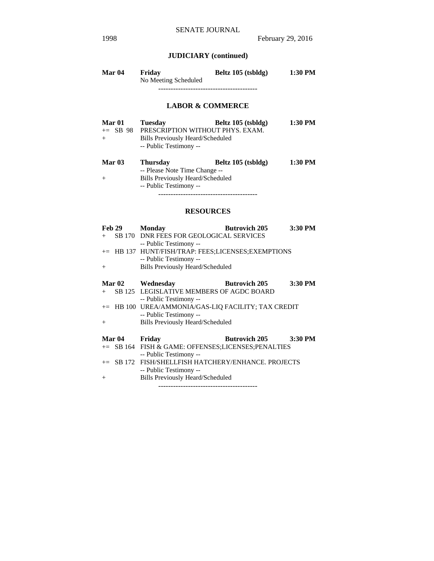# **JUDICIARY (continued)**

| Mar 04 | Friday               | Beltz 105 (tsbldg) | 1:30 PM |  |  |
|--------|----------------------|--------------------|---------|--|--|
|        | No Meeting Scheduled |                    |         |  |  |
|        |                      |                    |         |  |  |

# **LABOR & COMMERCE**

| Mar 01        | <b>Tuesday</b>                          | Beltz 105 (tsbldg)               | 1:30 PM |
|---------------|-----------------------------------------|----------------------------------|---------|
| $\pm$ SB 98   |                                         | PRESCRIPTION WITHOUT PHYS. EXAM. |         |
| $+$           | Bills Previously Heard/Scheduled        |                                  |         |
|               | -- Public Testimony --                  |                                  |         |
| <b>Mar 03</b> | <b>Thursday</b>                         | Beltz 105 (tsbldg)               | 1:30 PM |
|               | -- Please Note Time Change --           |                                  |         |
| $+$           | <b>Bills Previously Heard/Scheduled</b> |                                  |         |
|               | -- Public Testimony --                  |                                  |         |

----------------------------------------

# **RESOURCES**

| <b>Feb 29</b>     | <b>Monday</b>                                       | <b>Butrovich 205</b>    | 3:30 PM |
|-------------------|-----------------------------------------------------|-------------------------|---------|
| $+$               | SB 170 DNR FEES FOR GEOLOGICAL SERVICES             |                         |         |
|                   | -- Public Testimony --                              |                         |         |
|                   | += HB 137 HUNT/FISH/TRAP: FEES;LICENSES;EXEMPTIONS  |                         |         |
|                   | -- Public Testimony --                              |                         |         |
| $+$               | <b>Bills Previously Heard/Scheduled</b>             |                         |         |
|                   | Mar 02 Wednesday                                    | <b>Butrovich 205</b>    | 3:30 PM |
|                   | + SB 125 LEGISLATIVE MEMBERS OF AGDC BOARD          |                         |         |
|                   | -- Public Testimony --                              |                         |         |
|                   | += HB 100 UREA/AMMONIA/GAS-LIQ FACILITY; TAX CREDIT |                         |         |
|                   | -- Public Testimony --                              |                         |         |
| $+$               | <b>Bills Previously Heard/Scheduled</b>             |                         |         |
| Mar <sub>04</sub> | Friday                                              | Butrovich $205$ 3:30 PM |         |
|                   | += SB 164 FISH & GAME: OFFENSES;LICENSES;PENALTIES  |                         |         |
|                   | -- Public Testimony --                              |                         |         |
|                   | += SB 172 FISH/SHELLFISH HATCHERY/ENHANCE. PROJECTS |                         |         |
|                   | -- Public Testimony --                              |                         |         |
| $+$               | <b>Bills Previously Heard/Scheduled</b>             |                         |         |
|                   |                                                     |                         |         |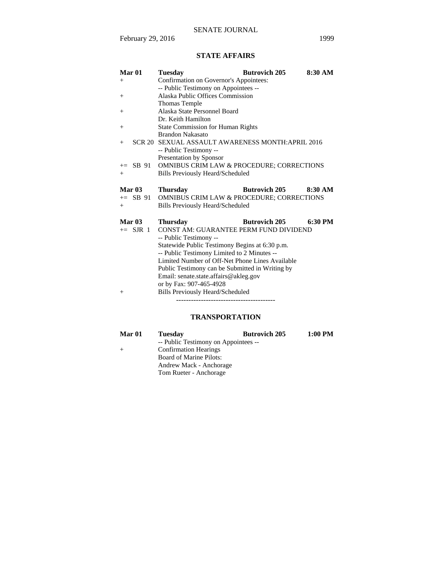# **STATE AFFAIRS**

| Mar <sub>01</sub> | Tuesdav                                              | <b>Butrovich 205</b> | 8:30 AM |
|-------------------|------------------------------------------------------|----------------------|---------|
| $^{+}$            | Confirmation on Governor's Appointees:               |                      |         |
|                   | -- Public Testimony on Appointees --                 |                      |         |
| $^{+}$            | Alaska Public Offices Commission                     |                      |         |
|                   | <b>Thomas Temple</b>                                 |                      |         |
| $^{+}$            | Alaska State Personnel Board                         |                      |         |
|                   | Dr. Keith Hamilton                                   |                      |         |
| $^{+}$            | <b>State Commission for Human Rights</b>             |                      |         |
|                   | <b>Brandon Nakasato</b>                              |                      |         |
| $+$               | SCR 20 SEXUAL ASSAULT AWARENESS MONTH: APRIL 2016    |                      |         |
|                   | -- Public Testimony --                               |                      |         |
|                   | Presentation by Sponsor                              |                      |         |
| $\pm$ SB 91       | OMNIBUS CRIM LAW & PROCEDURE; CORRECTIONS            |                      |         |
| $+$               | <b>Bills Previously Heard/Scheduled</b>              |                      |         |
|                   |                                                      |                      |         |
|                   |                                                      |                      |         |
| Mar <sub>03</sub> | <b>Thursday</b>                                      | <b>Butrovich 205</b> | 8:30 AM |
| $+=$ SB 91        | <b>OMNIBUS CRIM LAW &amp; PROCEDURE; CORRECTIONS</b> |                      |         |
| $+$               | <b>Bills Previously Heard/Scheduled</b>              |                      |         |
|                   |                                                      |                      |         |
| Mar <sub>03</sub> | <b>Thursday</b>                                      | <b>Butrovich 205</b> | 6:30 PM |
| $+=$ SJR 1        | CONST AM: GUARANTEE PERM FUND DIVIDEND               |                      |         |
|                   | -- Public Testimony --                               |                      |         |
|                   | Statewide Public Testimony Begins at 6:30 p.m.       |                      |         |
|                   | -- Public Testimony Limited to 2 Minutes --          |                      |         |
|                   | Limited Number of Off-Net Phone Lines Available      |                      |         |
|                   | Public Testimony can be Submitted in Writing by      |                      |         |
|                   | Email: senate.state.affairs@akleg.gov                |                      |         |
|                   | or by Fax: 907-465-4928                              |                      |         |
| $^{+}$            | Bills Previously Heard/Scheduled                     |                      |         |

# **TRANSPORTATION**

| Mar 01 | <b>Tuesday</b>                       | <b>Butrovich 205</b> | $1:00$ PM |
|--------|--------------------------------------|----------------------|-----------|
|        | -- Public Testimony on Appointees -- |                      |           |
| $+$    | <b>Confirmation Hearings</b>         |                      |           |
|        | <b>Board of Marine Pilots:</b>       |                      |           |
|        | Andrew Mack - Anchorage              |                      |           |
|        | Tom Rueter - Anchorage               |                      |           |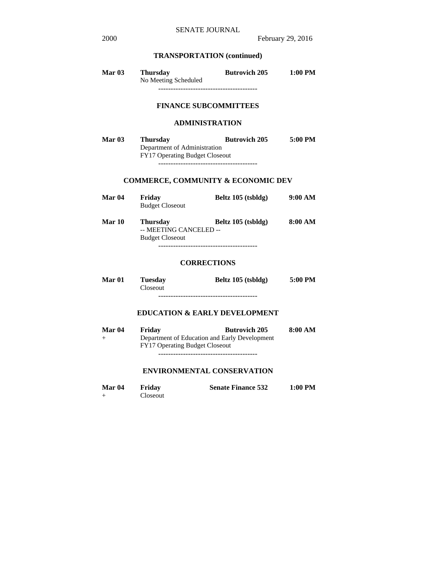# **TRANSPORTATION (continued)**

| <b>Mar 03</b> | <b>Thursday</b><br>No Meeting Scheduled | <b>Butrovich 205</b> | $1:00$ PM |
|---------------|-----------------------------------------|----------------------|-----------|
|               |                                         |                      |           |

# **FINANCE SUBCOMMITTEES**

### **ADMINISTRATION**

| <b>Mar 03</b> | <b>Thursday</b>                       | <b>Butrovich 205</b> | 5:00 PM |
|---------------|---------------------------------------|----------------------|---------|
|               | Department of Administration          |                      |         |
|               | <b>FY17 Operating Budget Closeout</b> |                      |         |
|               |                                       |                      |         |

# **COMMERCE, COMMUNITY & ECONOMIC DEV**

| Mar 04 | Friday<br><b>Budget Closeout</b>                                    | Beltz 105 (tsbldg) | 9:00 AM |
|--------|---------------------------------------------------------------------|--------------------|---------|
| Mar 10 | <b>Thursday</b><br>-- MEETING CANCELED --<br><b>Budget Closeout</b> | Beltz 105 (tsbldg) | 8:00 AM |
|        |                                                                     |                    |         |

## **CORRECTIONS**

| <b>Mar 01</b> | <b>Tuesday</b> | Beltz 105 (tsbldg) | 5:00 PM |
|---------------|----------------|--------------------|---------|
|               | Closeout       |                    |         |
|               |                |                    |         |

### **EDUCATION & EARLY DEVELOPMENT**

| <b>Mar 04</b> | Friday                                | <b>Butrovich 205</b>                          | 8:00 AM |
|---------------|---------------------------------------|-----------------------------------------------|---------|
| $^{+}$        | <b>FY17 Operating Budget Closeout</b> | Department of Education and Early Development |         |
|               |                                       |                                               |         |

## **ENVIRONMENTAL CONSERVATION**

| Mar <sub>04</sub> | Friday   | <b>Senate Finance 532</b> | $1:00$ PM |
|-------------------|----------|---------------------------|-----------|
|                   | Closeout |                           |           |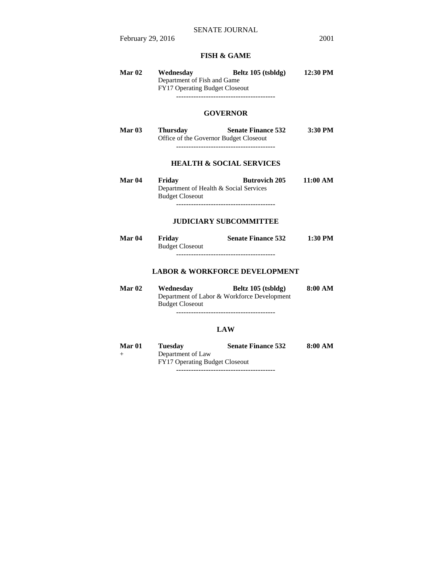# **FISH & GAME**

| Mar <sub>02</sub> | Wednesday<br>Department of Fish and Game<br>FY17 Operating Budget Closeout | Beltz 105 (tsbldg)<br>-------------------------------------       | 12:30 PM |
|-------------------|----------------------------------------------------------------------------|-------------------------------------------------------------------|----------|
|                   |                                                                            | <b>GOVERNOR</b>                                                   |          |
| Mar $03$          | <b>Thursday</b><br>Office of the Governor Budget Closeout                  | <b>Senate Finance 532</b>                                         | 3:30 PM  |
|                   |                                                                            | <b>HEALTH &amp; SOCIAL SERVICES</b>                               |          |
| Mar <sub>04</sub> | Friday<br>Department of Health & Social Services<br><b>Budget Closeout</b> | <b>Butrovich 205</b><br>---------------------------------         | 11:00 AM |
|                   |                                                                            | <b>JUDICIARY SUBCOMMITTEE</b>                                     |          |
| Mar <sub>04</sub> | Friday<br><b>Budget Closeout</b>                                           | <b>Senate Finance 532</b>                                         | 1:30 PM  |
|                   |                                                                            | <b>LABOR &amp; WORKFORCE DEVELOPMENT</b>                          |          |
| Mar <sub>02</sub> | Wednesday<br><b>Budget Closeout</b>                                        | Beltz 105 (tsbldg)<br>Department of Labor & Workforce Development | 8:00 AM  |
|                   |                                                                            | <b>LAW</b>                                                        |          |
| Mar 01<br>$^+$    | <b>Tuesday</b><br>Department of Law                                        | <b>Senate Finance 532</b>                                         | 8:00 AM  |

FY17 Operating Budget Closeout

----------------------------------------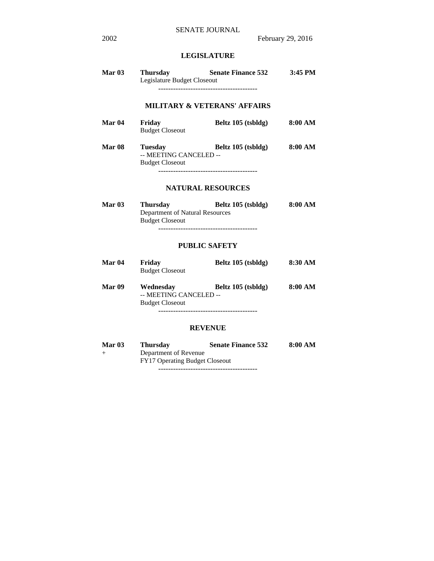# **LEGISLATURE**

| <b>Mar 03</b>       | <b>Thursday</b><br>Legislature Budget Closeout                               | <b>Senate Finance 532</b>                                | 3:45 PM            |
|---------------------|------------------------------------------------------------------------------|----------------------------------------------------------|--------------------|
|                     |                                                                              | <b>MILITARY &amp; VETERANS' AFFAIRS</b>                  |                    |
| <b>Mar 04</b>       | Friday<br><b>Budget Closeout</b>                                             | Beltz 105 (tsbldg)                                       | 8:00 AM            |
| <b>Mar 08</b>       | <b>Tuesday</b><br>-- MEETING CANCELED --<br><b>Budget Closeout</b>           | Beltz 105 (tsbldg)<br>--------------------------------   | 8:00 AM            |
|                     |                                                                              | <b>NATURAL RESOURCES</b>                                 |                    |
| <b>Mar 03</b>       | <b>Thursday</b><br>Department of Natural Resources<br><b>Budget Closeout</b> | Beltz 105 (tsbldg)<br>---------------------------------- | $8:00~\mathrm{AM}$ |
|                     |                                                                              | <b>PUBLIC SAFETY</b>                                     |                    |
| <b>Mar 04</b>       | Friday<br><b>Budget Closeout</b>                                             | Beltz 105 (tsbldg)                                       | 8:30 AM            |
| <b>Mar 09</b>       | Wednesday<br>-- MEETING CANCELED --<br><b>Budget Closeout</b>                | Beltz 105 (tsbldg)                                       | 8:00 AM            |
|                     |                                                                              | <b>REVENUE</b>                                           |                    |
| Mar 03<br>$\ddot{}$ | <b>Thursday</b><br>Department of Revenue<br>FY17 Operating Budget Closeout   | <b>Senate Finance 532</b>                                | 8:00 AM            |

----------------------------------------